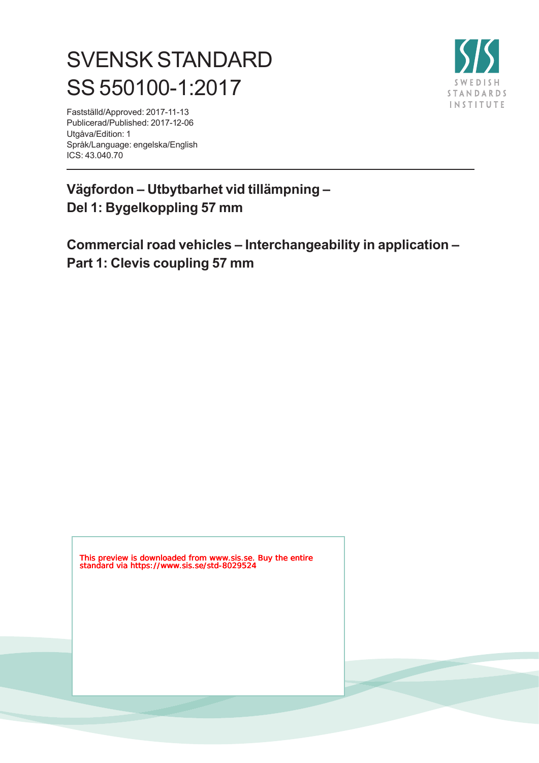# SVENSK STANDARD SS 550100-1:2017



Fastställd/Approved: 2017-11-13 Publicerad/Published: 2017-12-06 Utgåva/Edition: 1 Språk/Language: engelska/English ICS: 43.040.70

### **Vägfordon – Utbytbarhet vid tillämpning – Del 1: Bygelkoppling 57 mm**

**Commercial road vehicles – Interchangeability in application – Part 1: Clevis coupling 57 mm**

This preview is downloaded from www.sis.se. Buy the entire standard via https://www.sis.se/std-8029524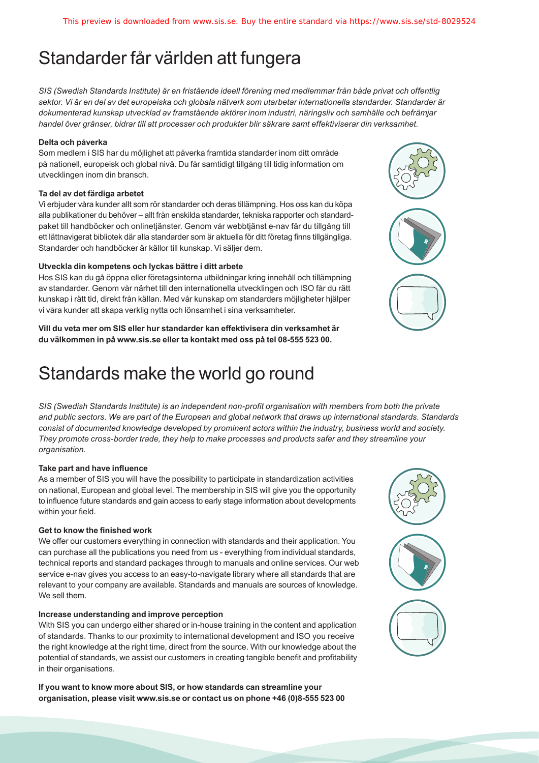## Standarder får världen att fungera

*SIS (Swedish Standards Institute) är en fristående ideell förening med medlemmar från både privat och offentlig sektor. Vi är en del av det europeiska och globala nätverk som utarbetar internationella standarder. Standarder är dokumenterad kunskap utvecklad av framstående aktörer inom industri, näringsliv och samhälle och befrämjar handel över gränser, bidrar till att processer och produkter blir säkrare samt effektiviserar din verksamhet.* 

#### **Delta och påverka**

Som medlem i SIS har du möjlighet att påverka framtida standarder inom ditt område på nationell, europeisk och global nivå. Du får samtidigt tillgång till tidig information om utvecklingen inom din bransch.

#### **Ta del av det färdiga arbetet**

Vi erbjuder våra kunder allt som rör standarder och deras tillämpning. Hos oss kan du köpa alla publikationer du behöver – allt från enskilda standarder, tekniska rapporter och standardpaket till handböcker och onlinetjänster. Genom vår webbtjänst e-nav får du tillgång till ett lättnavigerat bibliotek där alla standarder som är aktuella för ditt företag finns tillgängliga. Standarder och handböcker är källor till kunskap. Vi säljer dem.

#### **Utveckla din kompetens och lyckas bättre i ditt arbete**

Hos SIS kan du gå öppna eller företagsinterna utbildningar kring innehåll och tillämpning av standarder. Genom vår närhet till den internationella utvecklingen och ISO får du rätt kunskap i rätt tid, direkt från källan. Med vår kunskap om standarders möjligheter hjälper vi våra kunder att skapa verklig nytta och lönsamhet i sina verksamheter.

**Vill du veta mer om SIS eller hur standarder kan effektivisera din verksamhet är du välkommen in på www.sis.se eller ta kontakt med oss på tel 08-555 523 00.**

## Standards make the world go round

*SIS (Swedish Standards Institute) is an independent non-profit organisation with members from both the private and public sectors. We are part of the European and global network that draws up international standards. Standards consist of documented knowledge developed by prominent actors within the industry, business world and society. They promote cross-border trade, they help to make processes and products safer and they streamline your organisation.*

#### **Take part and have influence**

As a member of SIS you will have the possibility to participate in standardization activities on national, European and global level. The membership in SIS will give you the opportunity to influence future standards and gain access to early stage information about developments within your field.

#### **Get to know the finished work**

We offer our customers everything in connection with standards and their application. You can purchase all the publications you need from us - everything from individual standards, technical reports and standard packages through to manuals and online services. Our web service e-nav gives you access to an easy-to-navigate library where all standards that are relevant to your company are available. Standards and manuals are sources of knowledge. We sell them.

#### **Increase understanding and improve perception**

With SIS you can undergo either shared or in-house training in the content and application of standards. Thanks to our proximity to international development and ISO you receive the right knowledge at the right time, direct from the source. With our knowledge about the potential of standards, we assist our customers in creating tangible benefit and profitability in their organisations.

**If you want to know more about SIS, or how standards can streamline your organisation, please visit www.sis.se or contact us on phone +46 (0)8-555 523 00**



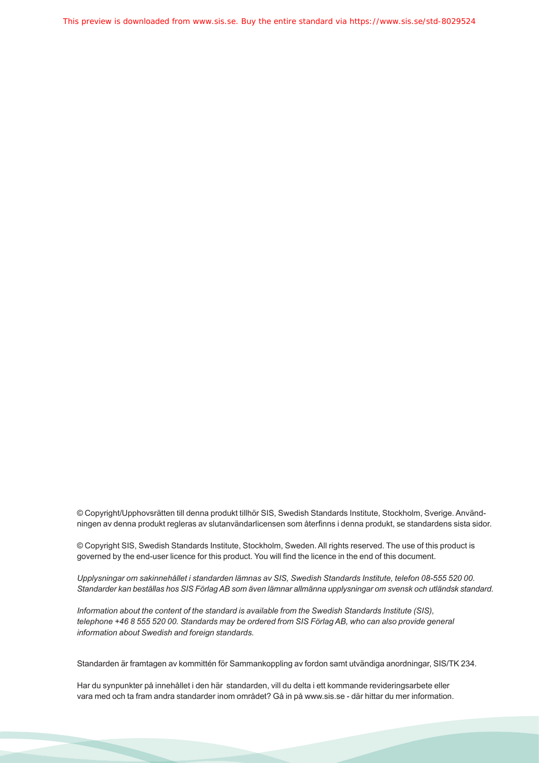This preview is downloaded from www.sis.se. Buy the entire standard via https://www.sis.se/std-8029524

© Copyright/Upphovsrätten till denna produkt tillhör SIS, Swedish Standards Institute, Stockholm, Sverige. Användningen av denna produkt regleras av slutanvändarlicensen som återfinns i denna produkt, se standardens sista sidor.

© Copyright SIS, Swedish Standards Institute, Stockholm, Sweden. All rights reserved. The use of this product is governed by the end-user licence for this product. You will find the licence in the end of this document.

*Upplysningar om sakinnehållet i standarden lämnas av SIS, Swedish Standards Institute, telefon 08-555 520 00. Standarder kan beställas hos SIS Förlag AB som även lämnar allmänna upplysningar om svensk och utländsk standard.*

*Information about the content of the standard is available from the Swedish Standards Institute (SIS), telephone +46 8 555 520 00. Standards may be ordered from SIS Förlag AB, who can also provide general information about Swedish and foreign standards.*

Standarden är framtagen av kommittén för Sammankoppling av fordon samt utvändiga anordningar, SIS/TK 234.

Har du synpunkter på innehållet i den här standarden, vill du delta i ett kommande revideringsarbete eller vara med och ta fram andra standarder inom området? Gå in på www.sis.se - där hittar du mer information.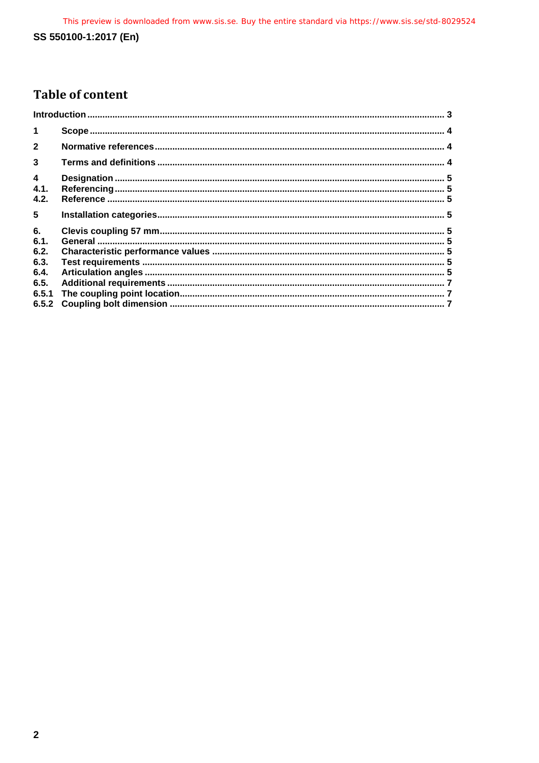### **Table of content**

| $\blacktriangleleft$           |  |
|--------------------------------|--|
| $\overline{2}$                 |  |
| $\overline{\mathbf{3}}$        |  |
| $\boldsymbol{\Lambda}$<br>4.1. |  |
| 4.2.<br>5                      |  |
| 6.<br>6.1.                     |  |
| 6.2.<br>6.3.                   |  |
| 6.4.<br>6.5.                   |  |
|                                |  |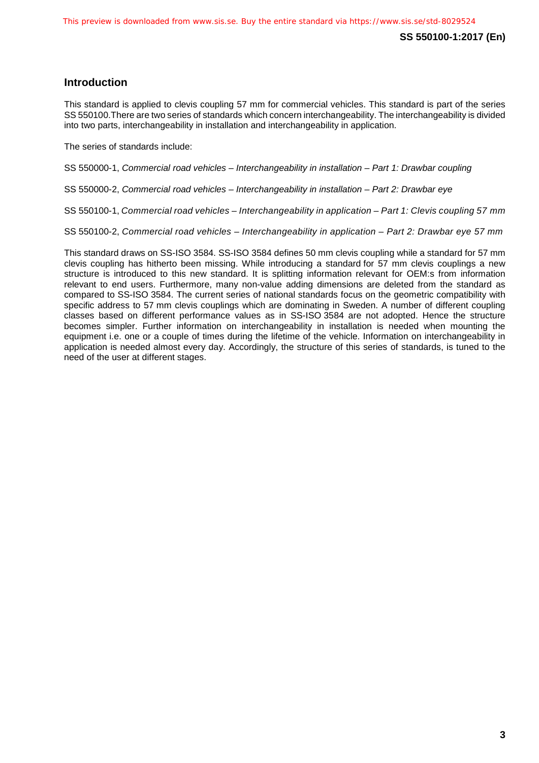#### <span id="page-4-0"></span>**Introduction**

This standard is applied to clevis coupling 57 mm for commercial vehicles. This standard is part of the series SS 550100.There are two series of standards which concern interchangeability. The interchangeability is divided into two parts, interchangeability in installation and interchangeability in application.

The series of standards include:

SS 550000-1, *Commercial road vehicles – Interchangeability in installation – Part 1: Drawbar coupling*

SS 550000-2, *Commercial road vehicles – Interchangeability in installation – Part 2: Drawbar eye*

SS 550100-1, *Commercial road vehicles – Interchangeability in application – Part 1: Clevis coupling 57 mm*

SS 550100-2, *Commercial road vehicles – Interchangeability in application – Part 2: Drawbar eye 57 mm*

This standard draws on SS-ISO 3584. SS-ISO 3584 defines 50 mm clevis coupling while a standard for 57 mm clevis coupling has hitherto been missing. While introducing a standard for 57 mm clevis couplings a new structure is introduced to this new standard. It is splitting information relevant for OEM:s from information relevant to end users. Furthermore, many non-value adding dimensions are deleted from the standard as compared to SS-ISO 3584. The current series of national standards focus on the geometric compatibility with specific address to 57 mm clevis couplings which are dominating in Sweden. A number of different coupling classes based on different performance values as in SS-ISO 3584 are not adopted. Hence the structure becomes simpler. Further information on interchangeability in installation is needed when mounting the equipment i.e. one or a couple of times during the lifetime of the vehicle. Information on interchangeability in application is needed almost every day. Accordingly, the structure of this series of standards, is tuned to the need of the user at different stages.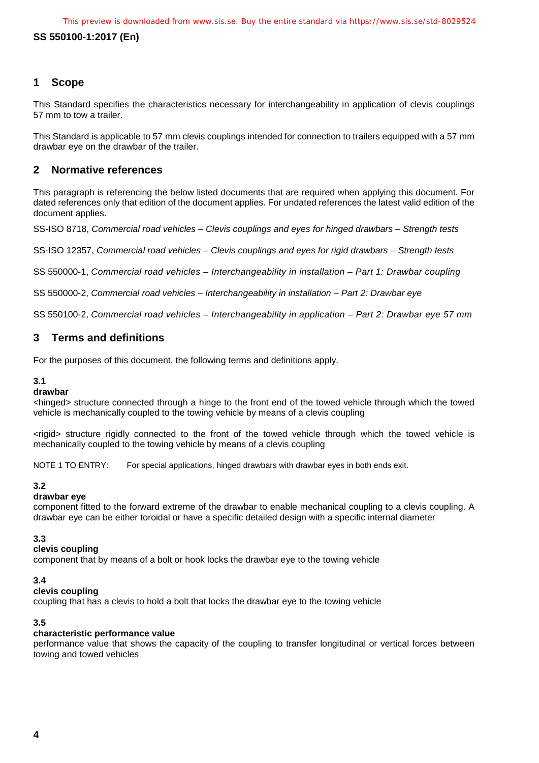#### **SS 550100-1:2017 (En)**

#### <span id="page-5-0"></span>**1 Scope**

This Standard specifies the characteristics necessary for interchangeability in application of clevis couplings 57 mm to tow a trailer.

This Standard is applicable to 57 mm clevis couplings intended for connection to trailers equipped with a 57 mm drawbar eye on the drawbar of the trailer.

#### <span id="page-5-1"></span>**2 Normative references**

This paragraph is referencing the below listed documents that are required when applying this document. For dated references only that edition of the document applies. For undated references the latest valid edition of the document applies.

SS-ISO 8718, *Commercial road vehicles – Clevis couplings and eyes for hinged drawbars – Strength tests*

SS-ISO 12357, *Commercial road vehicles – Clevis couplings and eyes for rigid drawbars – Strength tests*

SS 550000-1, *Commercial road vehicles – Interchangeability in installation – Part 1: Drawbar coupling*

SS 550000-2, *Commercial road vehicles – Interchangeability in installation – Part 2: Drawbar eye*

SS 550100-2, *Commercial road vehicles – Interchangeability in application – Part 2: Drawbar eye 57 mm*

#### <span id="page-5-2"></span>**3 Terms and definitions**

For the purposes of this document, the following terms and definitions apply.

#### **3.1**

#### **drawbar**

<hinged> structure connected through a hinge to the front end of the towed vehicle through which the towed vehicle is mechanically coupled to the towing vehicle by means of a clevis coupling

<rigid> structure rigidly connected to the front of the towed vehicle through which the towed vehicle is mechanically coupled to the towing vehicle by means of a clevis coupling

NOTE 1 TO ENTRY: For special applications, hinged drawbars with drawbar eyes in both ends exit.

#### **3.2**

#### **drawbar eye**

component fitted to the forward extreme of the drawbar to enable mechanical coupling to a clevis coupling. A drawbar eye can be either toroidal or have a specific detailed design with a specific internal diameter

#### **3.3**

#### **clevis coupling**

component that by means of a bolt or hook locks the drawbar eye to the towing vehicle

#### **3.4**

#### **clevis coupling**

coupling that has a clevis to hold a bolt that locks the drawbar eye to the towing vehicle

#### **3.5**

#### **characteristic performance value**

performance value that shows the capacity of the coupling to transfer longitudinal or vertical forces between towing and towed vehicles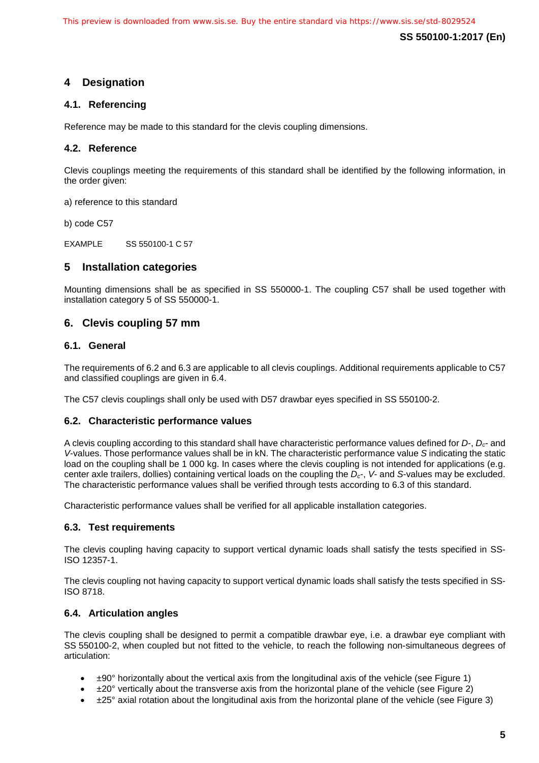**SS 550100-1:2017 (En)**

#### <span id="page-6-0"></span>**4 Designation**

#### <span id="page-6-1"></span>**4.1. Referencing**

Reference may be made to this standard for the clevis coupling dimensions.

#### <span id="page-6-2"></span>**4.2. Reference**

Clevis couplings meeting the requirements of this standard shall be identified by the following information, in the order given:

a) reference to this standard

b) code C57

EXAMPLE SS 550100-1 C 57

#### <span id="page-6-3"></span>**5 Installation categories**

Mounting dimensions shall be as specified in SS 550000-1. The coupling C57 shall be used together with installation category 5 of SS 550000-1.

#### <span id="page-6-4"></span>**6. Clevis coupling 57 mm**

#### <span id="page-6-5"></span>**6.1. General**

The requirements of 6.2 and 6.3 are applicable to all clevis couplings. Additional requirements applicable to C57 and classified couplings are given in 6.4.

The C57 clevis couplings shall only be used with D57 drawbar eyes specified in SS 550100-2.

#### <span id="page-6-6"></span>**6.2. Characteristic performance values**

A clevis coupling according to this standard shall have characteristic performance values defined for *D*-, *Dc*- and *V*-values. Those performance values shall be in kN. The characteristic performance value *S* indicating the static load on the coupling shall be 1 000 kg. In cases where the clevis coupling is not intended for applications (e.g. center axle trailers, dollies) containing vertical loads on the coupling the *Dc*-, *V*- and *S*-values may be excluded. The characteristic performance values shall be verified through tests according to 6.3 of this standard.

Characteristic performance values shall be verified for all applicable installation categories.

#### <span id="page-6-7"></span>**6.3. Test requirements**

The clevis coupling having capacity to support vertical dynamic loads shall satisfy the tests specified in SS-ISO 12357-1.

The clevis coupling not having capacity to support vertical dynamic loads shall satisfy the tests specified in SS-ISO 8718.

#### <span id="page-6-8"></span>**6.4. Articulation angles**

The clevis coupling shall be designed to permit a compatible drawbar eye, i.e. a drawbar eye compliant with SS 550100-2, when coupled but not fitted to the vehicle, to reach the following non-simultaneous degrees of articulation:

- $\pm$ 90° horizontally about the vertical axis from the longitudinal axis of the vehicle (see Figure 1)
- ±20° vertically about the transverse axis from the horizontal plane of the vehicle (see Figure 2)
- ±25° axial rotation about the longitudinal axis from the horizontal plane of the vehicle (see Figure 3)